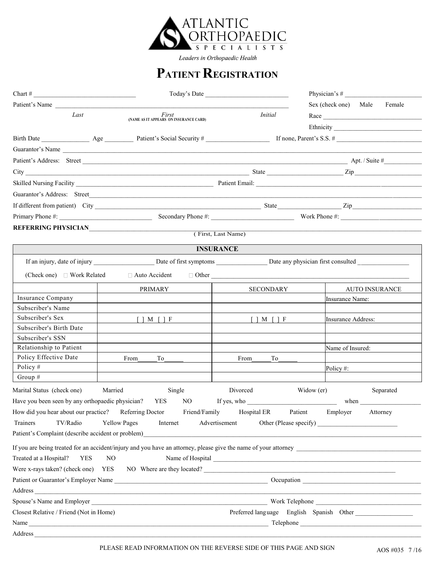

Leaders in Orthopaedic Health

## **PATIENT REGISTRATION**

|                                                       |                                                                                                                                                                                                                                | Today's Date                                                                 |                                          |
|-------------------------------------------------------|--------------------------------------------------------------------------------------------------------------------------------------------------------------------------------------------------------------------------------|------------------------------------------------------------------------------|------------------------------------------|
| Patient's Name                                        |                                                                                                                                                                                                                                |                                                                              | Sex (check one) Male<br>Female           |
| Last                                                  | First<br>(NAME AS IT APPEARS ON INSURANCE CARD)                                                                                                                                                                                | <i>Initial</i>                                                               | Race                                     |
|                                                       |                                                                                                                                                                                                                                |                                                                              |                                          |
|                                                       | Birth Date Age Patient's Social Security # If none, Parent's S.S. #                                                                                                                                                            |                                                                              |                                          |
|                                                       | Guarantor's Name                                                                                                                                                                                                               |                                                                              |                                          |
|                                                       |                                                                                                                                                                                                                                |                                                                              |                                          |
|                                                       |                                                                                                                                                                                                                                |                                                                              |                                          |
|                                                       |                                                                                                                                                                                                                                |                                                                              |                                          |
|                                                       |                                                                                                                                                                                                                                |                                                                              |                                          |
|                                                       | Guarantor's Address: Street                                                                                                                                                                                                    |                                                                              |                                          |
|                                                       |                                                                                                                                                                                                                                |                                                                              |                                          |
|                                                       |                                                                                                                                                                                                                                |                                                                              |                                          |
|                                                       |                                                                                                                                                                                                                                | (First, Last Name)                                                           |                                          |
|                                                       |                                                                                                                                                                                                                                |                                                                              |                                          |
|                                                       |                                                                                                                                                                                                                                | <b>INSURANCE</b>                                                             |                                          |
|                                                       | If an injury, date of injury Date of first symptoms Date any physician first consulted                                                                                                                                         |                                                                              |                                          |
| (Check one) □ Work Related                            | $\Box$ Auto Accident $\Box$ Other                                                                                                                                                                                              |                                                                              |                                          |
|                                                       | PRIMARY                                                                                                                                                                                                                        | <b>SECONDARY</b>                                                             | <b>AUTO INSURANCE</b>                    |
| Insurance Company                                     |                                                                                                                                                                                                                                |                                                                              | Insurance Name:                          |
| Subscriber's Name                                     |                                                                                                                                                                                                                                |                                                                              |                                          |
| Subscriber's Sex                                      | $\lceil$   M $\lceil$   F                                                                                                                                                                                                      | $\lceil$   M $\lceil$   F                                                    | <b>Insurance Address:</b>                |
| Subscriber's Birth Date                               |                                                                                                                                                                                                                                |                                                                              |                                          |
| Subscriber's SSN                                      |                                                                                                                                                                                                                                |                                                                              |                                          |
| Relationship to Patient                               |                                                                                                                                                                                                                                |                                                                              | Name of Insured:                         |
| Policy Effective Date                                 | From<br>To                                                                                                                                                                                                                     | From<br>To                                                                   |                                          |
| Policy $#$                                            |                                                                                                                                                                                                                                |                                                                              | Policy #:                                |
| Group #                                               |                                                                                                                                                                                                                                |                                                                              |                                          |
| Marital Status (check one)                            | Married<br>Single                                                                                                                                                                                                              | Divorced                                                                     | Separated<br>Widow (er)                  |
| Have you been seen by any orthopaedic physician?      | YES<br>NO                                                                                                                                                                                                                      | If yes, who $\_\_\_\_\_\_\_\_\_\_\_\_\_\_\_\_\_\_\_\_\_\_\_\_\_\_\_\_\_\_\_$ |                                          |
| How did you hear about our practice? Referring Doctor | Friend/Family                                                                                                                                                                                                                  | Hospital ER                                                                  | Patient<br>Employer<br>Attorney          |
| Trainers<br>TV/Radio                                  | Yellow Pages<br>Internet                                                                                                                                                                                                       | Advertisement                                                                | Other (Please specify)                   |
| Patient's Complaint (describe accident or problem)    |                                                                                                                                                                                                                                |                                                                              |                                          |
|                                                       |                                                                                                                                                                                                                                |                                                                              |                                          |
|                                                       |                                                                                                                                                                                                                                |                                                                              |                                          |
| Treated at a Hospital?<br><b>YES</b>                  | NO.                                                                                                                                                                                                                            |                                                                              |                                          |
|                                                       | Were x-rays taken? (check one) YES NO Where are they located?                                                                                                                                                                  |                                                                              |                                          |
|                                                       |                                                                                                                                                                                                                                |                                                                              |                                          |
|                                                       | Address and the contract of the contract of the contract of the contract of the contract of the contract of the contract of the contract of the contract of the contract of the contract of the contract of the contract of th |                                                                              |                                          |
|                                                       |                                                                                                                                                                                                                                |                                                                              |                                          |
| Closest Relative / Friend (Not in Home)               |                                                                                                                                                                                                                                |                                                                              | Preferred language English Spanish Other |
|                                                       |                                                                                                                                                                                                                                |                                                                              |                                          |
| Address                                               |                                                                                                                                                                                                                                |                                                                              |                                          |